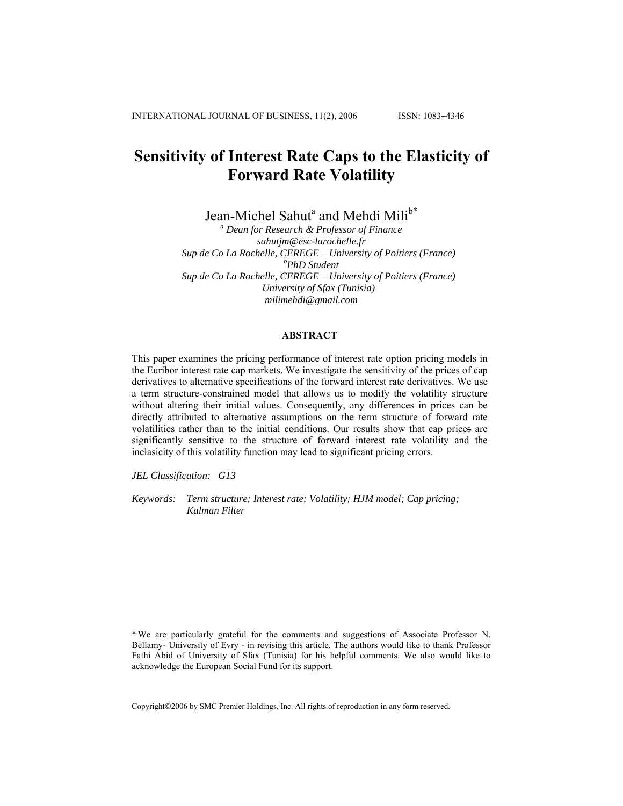# **Sensitivity of Interest Rate Caps to the Elasticity of Forward Rate Volatility**

Jean-Michel Sahut<sup>a</sup> and Mehdi Mili<sup>b\*</sup>

*a Dean for Research & Professor of Finance sahutjm@esc-larochelle.fr Sup de Co La Rochelle, CEREGE – University of Poitiers (France) <sup>b</sup> PhD Student Sup de Co La Rochelle, CEREGE – University of Poitiers (France) University of Sfax (Tunisia) milimehdi@gmail.com* 

# **ABSTRACT**

This paper examines the pricing performance of interest rate option pricing models in the Euribor interest rate cap markets. We investigate the sensitivity of the prices of cap derivatives to alternative specifications of the forward interest rate derivatives. We use a term structure-constrained model that allows us to modify the volatility structure without altering their initial values. Consequently, any differences in prices can be directly attributed to alternative assumptions on the term structure of forward rate volatilities rather than to the initial conditions. Our results show that cap prices are significantly sensitive to the structure of forward interest rate volatility and the inelasicity of this volatility function may lead to significant pricing errors.

*JEL Classification: G13*

*Keywords: Term structure; Interest rate; Volatility; HJM model; Cap pricing; Kalman Filter*

\* We are particularly grateful for the comments and suggestions of Associate Professor N. Bellamy- University of Evry - in revising this article. The authors would like to thank Professor Fathi Abid of University of Sfax (Tunisia) for his helpful comments. We also would like to acknowledge the European Social Fund for its support.

Copyright©2006 by SMC Premier Holdings, Inc. All rights of reproduction in any form reserved.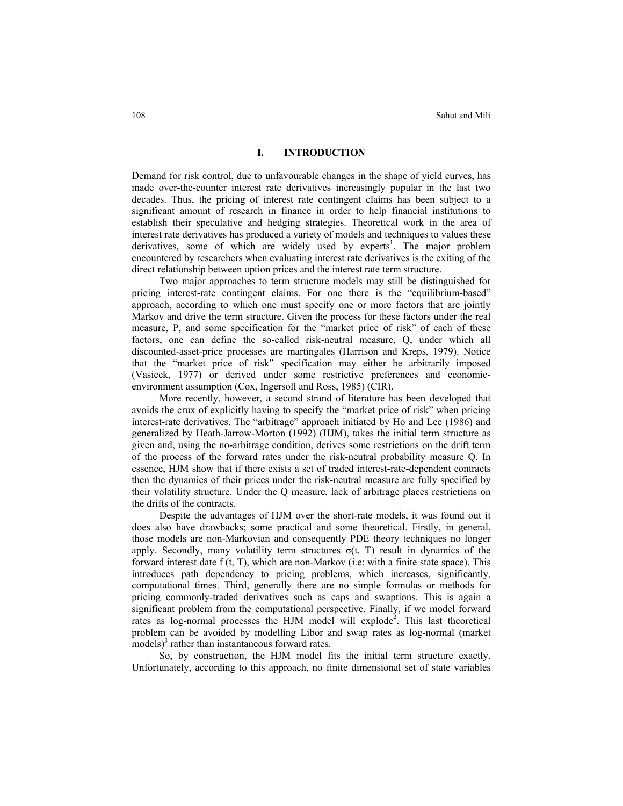## **I. INTRODUCTION**

Demand for risk control, due to unfavourable changes in the shape of yield curves, has made over-the-counter interest rate derivatives increasingly popular in the last two decades. Thus, the pricing of interest rate contingent claims has been subject to a significant amount of research in finance in order to help financial institutions to establish their speculative and hedging strategies. Theoretical work in the area of interest rate derivatives has produced a variety of models and techniques to values these derivatives, some of which are widely used by experts<sup>1</sup>. The major problem encountered by researchers when evaluating interest rate derivatives is the exiting of the direct relationship between option prices and the interest rate term structure.

Two major approaches to term structure models may still be distinguished for pricing interest-rate contingent claims. For one there is the "equilibrium-based" approach, according to which one must specify one or more factors that are jointly Markov and drive the term structure. Given the process for these factors under the real measure, P, and some specification for the "market price of risk" of each of these factors, one can define the so-called risk-neutral measure, Q, under which all discounted-asset-price processes are martingales (Harrison and Kreps, 1979). Notice that the "market price of risk" specification may either be arbitrarily imposed (Vasicek, 1977) or derived under some restrictive preferences and economicenvironment assumption (Cox, Ingersoll and Ross, 1985) (CIR).

More recently, however, a second strand of literature has been developed that avoids the crux of explicitly having to specify the "market price of risk" when pricing interest-rate derivatives. The "arbitrage" approach initiated by Ho and Lee (1986) and generalized by Heath-Jarrow-Morton (1992) (HJM), takes the initial term structure as given and, using the no-arbitrage condition, derives some restrictions on the drift term of the process of the forward rates under the risk-neutral probability measure Q. In essence, HJM show that if there exists a set of traded interest-rate-dependent contracts then the dynamics of their prices under the risk-neutral measure are fully specified by their volatility structure. Under the Q measure, lack of arbitrage places restrictions on the drifts of the contracts.

Despite the advantages of HJM over the short-rate models, it was found out it does also have drawbacks; some practical and some theoretical. Firstly, in general, those models are non-Markovian and consequently PDE theory techniques no longer apply. Secondly, many volatility term structures  $\sigma(t, T)$  result in dynamics of the forward interest date f (t, T), which are non-Markov (i.e: with a finite state space). This introduces path dependency to pricing problems, which increases, significantly, computational times. Third, generally there are no simple formulas or methods for pricing commonly-traded derivatives such as caps and swaptions. This is again a significant problem from the computational perspective. Finally, if we model forward rates as log-normal processes the HJM model will explode<sup>2</sup>. This last theoretical problem can be avoided by modelling Libor and swap rates as log-normal (market models)<sup>3</sup> rather than instantaneous forward rates.

So, by construction, the HJM model fits the initial term structure exactly. Unfortunately, according to this approach, no finite dimensional set of state variables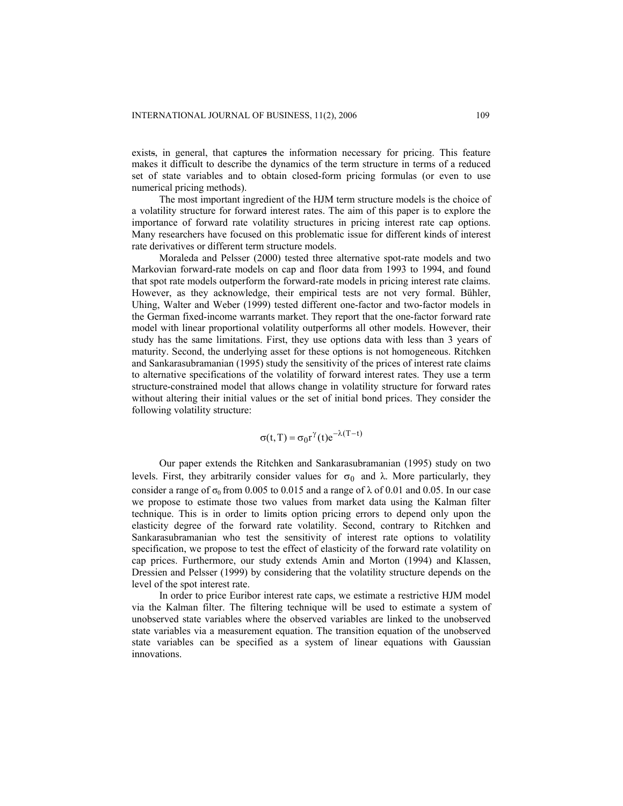exists, in general, that captures the information necessary for pricing. This feature makes it difficult to describe the dynamics of the term structure in terms of a reduced set of state variables and to obtain closed-form pricing formulas (or even to use numerical pricing methods).

The most important ingredient of the HJM term structure models is the choice of a volatility structure for forward interest rates. The aim of this paper is to explore the importance of forward rate volatility structures in pricing interest rate cap options. Many researchers have focused on this problematic issue for different kinds of interest rate derivatives or different term structure models.

Moraleda and Pelsser (2000) tested three alternative spot-rate models and two Markovian forward-rate models on cap and floor data from 1993 to 1994, and found that spot rate models outperform the forward-rate models in pricing interest rate claims. However, as they acknowledge, their empirical tests are not very formal. Bühler, Uhing, Walter and Weber (1999) tested different one-factor and two-factor models in the German fixed-income warrants market. They report that the one-factor forward rate model with linear proportional volatility outperforms all other models. However, their study has the same limitations. First, they use options data with less than 3 years of maturity. Second, the underlying asset for these options is not homogeneous. Ritchken and Sankarasubramanian (1995) study the sensitivity of the prices of interest rate claims to alternative specifications of the volatility of forward interest rates. They use a term structure-constrained model that allows change in volatility structure for forward rates without altering their initial values or the set of initial bond prices. They consider the following volatility structure:

$$
\sigma(t,T) = \sigma_0 r^{\gamma}(t) e^{-\lambda(T-t)}
$$

Our paper extends the Ritchken and Sankarasubramanian (1995) study on two levels. First, they arbitrarily consider values for  $σ_0$  and λ. More particularly, they consider a range of  $\sigma_0$  from 0.005 to 0.015 and a range of  $\lambda$  of 0.01 and 0.05. In our case we propose to estimate those two values from market data using the Kalman filter technique. This is in order to limits option pricing errors to depend only upon the elasticity degree of the forward rate volatility. Second, contrary to Ritchken and Sankarasubramanian who test the sensitivity of interest rate options to volatility specification, we propose to test the effect of elasticity of the forward rate volatility on cap prices. Furthermore, our study extends Amin and Morton (1994) and Klassen, Dressien and Pelsser (1999) by considering that the volatility structure depends on the level of the spot interest rate.

In order to price Euribor interest rate caps, we estimate a restrictive HJM model via the Kalman filter. The filtering technique will be used to estimate a system of unobserved state variables where the observed variables are linked to the unobserved state variables via a measurement equation. The transition equation of the unobserved state variables can be specified as a system of linear equations with Gaussian innovations.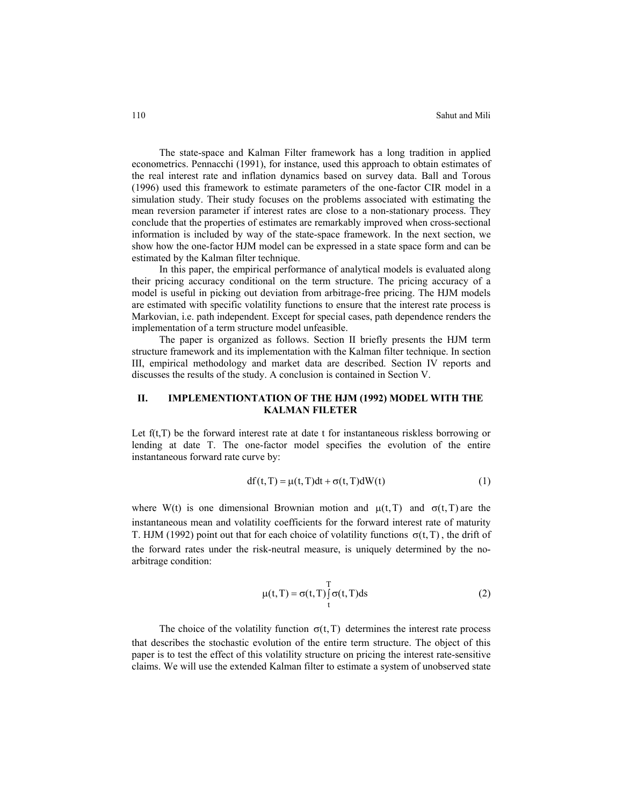The state-space and Kalman Filter framework has a long tradition in applied econometrics. Pennacchi (1991), for instance, used this approach to obtain estimates of the real interest rate and inflation dynamics based on survey data. Ball and Torous (1996) used this framework to estimate parameters of the one-factor CIR model in a simulation study. Their study focuses on the problems associated with estimating the mean reversion parameter if interest rates are close to a non-stationary process. They conclude that the properties of estimates are remarkably improved when cross-sectional information is included by way of the state-space framework. In the next section, we show how the one-factor HJM model can be expressed in a state space form and can be estimated by the Kalman filter technique.

In this paper, the empirical performance of analytical models is evaluated along their pricing accuracy conditional on the term structure. The pricing accuracy of a model is useful in picking out deviation from arbitrage-free pricing. The HJM models are estimated with specific volatility functions to ensure that the interest rate process is Markovian, i.e. path independent. Except for special cases, path dependence renders the implementation of a term structure model unfeasible.

The paper is organized as follows. Section II briefly presents the HJM term structure framework and its implementation with the Kalman filter technique. In section III, empirical methodology and market data are described. Section IV reports and discusses the results of the study. A conclusion is contained in Section V.

# **II. IMPLEMENTIONTATION OF THE HJM (1992) MODEL WITH THE KALMAN FILETER**

Let  $f(t,T)$  be the forward interest rate at date t for instantaneous riskless borrowing or lending at date T. The one-factor model specifies the evolution of the entire instantaneous forward rate curve by:

$$
df(t, T) = \mu(t, T)dt + \sigma(t, T)dW(t)
$$
\n(1)

where W(t) is one dimensional Brownian motion and  $\mu(t,T)$  and  $\sigma(t,T)$  are the instantaneous mean and volatility coefficients for the forward interest rate of maturity T. HJM (1992) point out that for each choice of volatility functions  $\sigma(t,T)$ , the drift of the forward rates under the risk-neutral measure, is uniquely determined by the noarbitrage condition:

$$
\mu(t,T) = \sigma(t,T) \int_{t}^{T} \sigma(t,T) ds
$$
\n(2)

The choice of the volatility function  $\sigma(t, T)$  determines the interest rate process that describes the stochastic evolution of the entire term structure. The object of this paper is to test the effect of this volatility structure on pricing the interest rate-sensitive claims. We will use the extended Kalman filter to estimate a system of unobserved state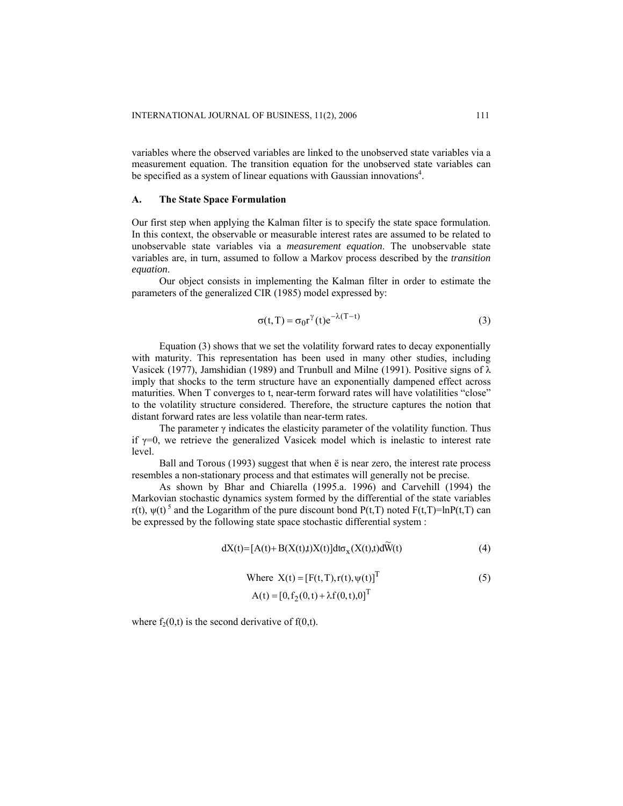variables where the observed variables are linked to the unobserved state variables via a measurement equation. The transition equation for the unobserved state variables can be specified as a system of linear equations with Gaussian innovations<sup>4</sup>.

## **A. The State Space Formulation**

Our first step when applying the Kalman filter is to specify the state space formulation. In this context, the observable or measurable interest rates are assumed to be related to unobservable state variables via a *measurement equation*. The unobservable state variables are, in turn, assumed to follow a Markov process described by the *transition equation*.

Our object consists in implementing the Kalman filter in order to estimate the parameters of the generalized CIR (1985) model expressed by:

$$
\sigma(t,T) = \sigma_0 r^{\gamma}(t) e^{-\lambda(T-t)}
$$
\n(3)

Equation (3) shows that we set the volatility forward rates to decay exponentially with maturity. This representation has been used in many other studies, including Vasicek (1977), Jamshidian (1989) and Trunbull and Milne (1991). Positive signs of  $\lambda$ imply that shocks to the term structure have an exponentially dampened effect across maturities. When T converges to t, near-term forward rates will have volatilities "close" to the volatility structure considered. Therefore, the structure captures the notion that distant forward rates are less volatile than near-term rates.

The parameter  $\gamma$  indicates the elasticity parameter of the volatility function. Thus if  $\gamma=0$ , we retrieve the generalized Vasicek model which is inelastic to interest rate level.

Ball and Torous (1993) suggest that when ë is near zero, the interest rate process resembles a non-stationary process and that estimates will generally not be precise.

As shown by Bhar and Chiarella (1995.a. 1996) and Carvehill (1994) the Markovian stochastic dynamics system formed by the differential of the state variables r(t),  $\psi(t)$ <sup>5</sup> and the Logarithm of the pure discount bond P(t,T) noted F(t,T)=lnP(t,T) can be expressed by the following state space stochastic differential system :

$$
dX(t) = [A(t) + B(X(t),t)X(t)]dt\sigma_X(X(t),t)d\widetilde{W}(t)
$$
\n(4)

Where 
$$
X(t) = [F(t, T), r(t), \psi(t)]^T
$$
 (5)  
\n $A(t) = [0, f_2(0, t) + \lambda f(0, t), 0]^T$ 

where  $f_2(0,t)$  is the second derivative of  $f(0,t)$ .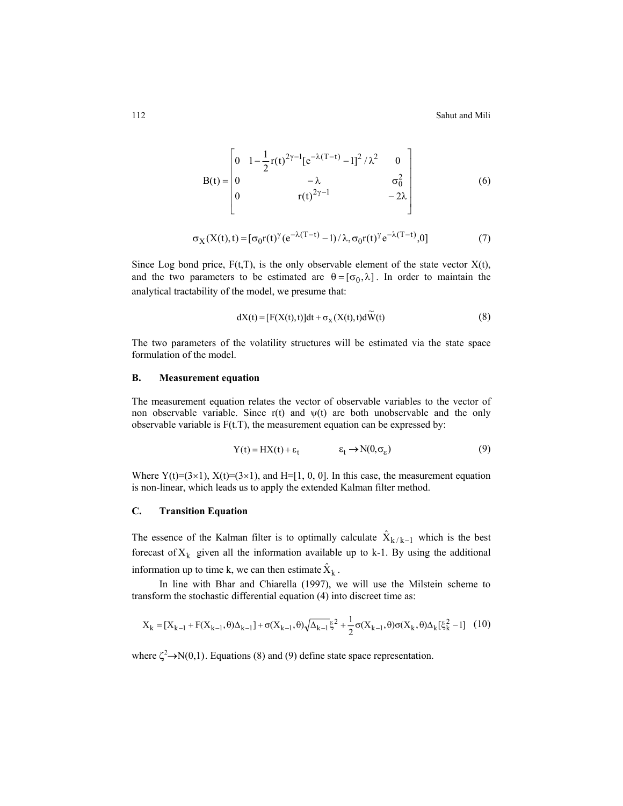112 Sahut and Mili

$$
B(t) = \begin{bmatrix} 0 & 1 - \frac{1}{2}r(t)^{2\gamma - 1}[e^{-\lambda(T - t)} - 1]^2 / \lambda^2 & 0 \\ 0 & -\lambda & \sigma_0^2 \\ 0 & r(t)^{2\gamma - 1} & -2\lambda \end{bmatrix}
$$
(6)

$$
\sigma_X(X(t),t) = [\sigma_0 r(t)^\gamma (e^{-\lambda(T-t)} - 1) / \lambda, \sigma_0 r(t)^\gamma e^{-\lambda(T-t)}, 0]
$$
\n(7)

Since Log bond price,  $F(t,T)$ , is the only observable element of the state vector  $X(t)$ , and the two parameters to be estimated are  $\theta = [\sigma_0, \lambda]$ . In order to maintain the analytical tractability of the model, we presume that:

$$
dX(t) = [F(X(t), t)]dt + \sigma_X(X(t), t)d\widetilde{W}(t)
$$
\n(8)

The two parameters of the volatility structures will be estimated via the state space formulation of the model.

#### **B. Measurement equation**

The measurement equation relates the vector of observable variables to the vector of non observable variable. Since  $r(t)$  and  $\psi(t)$  are both unobservable and the only observable variable is  $F(t,T)$ , the measurement equation can be expressed by:

$$
Y(t) = HX(t) + \varepsilon_t \qquad \qquad \varepsilon_t \to N(0, \sigma_{\varepsilon}) \tag{9}
$$

Where  $Y(t)=(3\times1)$ ,  $X(t)=(3\times1)$ , and  $H=[1, 0, 0]$ . In this case, the measurement equation is non-linear, which leads us to apply the extended Kalman filter method.

# **C. Transition Equation**

The essence of the Kalman filter is to optimally calculate  $\hat{X}_{k/k-1}$  which is the best forecast of  $X_k$  given all the information available up to k-1. By using the additional information up to time k, we can then estimate  $\hat{X}_k$ .

In line with Bhar and Chiarella (1997), we will use the Milstein scheme to transform the stochastic differential equation (4) into discreet time as:

$$
X_{k} = [X_{k-1} + F(X_{k-1}, \theta)\Delta_{k-1}] + \sigma(X_{k-1}, \theta)\sqrt{\Delta_{k-1}}\xi^{2} + \frac{1}{2}\sigma(X_{k-1}, \theta)\sigma(X_{k}, \theta)\Delta_{k}[\xi_{k}^{2} - 1] \tag{10}
$$

where  $\zeta^2 \to N(0,1)$ . Equations (8) and (9) define state space representation.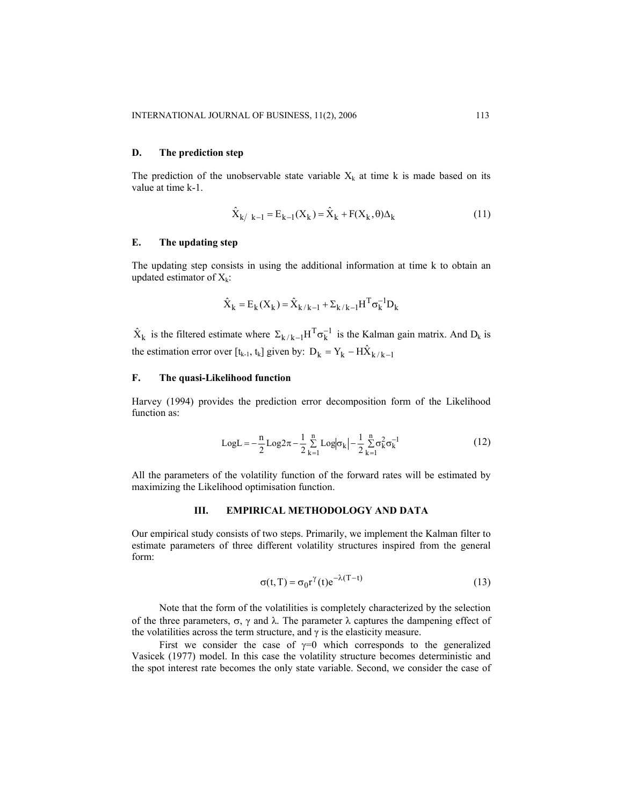### **D. The prediction step**

The prediction of the unobservable state variable  $X_k$  at time k is made based on its value at time k-1.

$$
\hat{X}_{k/ k - 1} = E_{k-1}(X_k) = \hat{X}_k + F(X_k, \theta) \Delta_k
$$
\n(11)

## **E. The updating step**

The updating step consists in using the additional information at time k to obtain an updated estimator of  $X_k$ :

$$
\hat{\mathbf{X}}_k = \mathbf{E}_k(\mathbf{X}_k) = \hat{\mathbf{X}}_{k/k-1} + \boldsymbol{\Sigma}_{k/k-1} \mathbf{H}^{\mathrm{T}} \boldsymbol{\sigma}_k^{-1} \mathbf{D}_k
$$

 $\hat{X}_k$  is the filtered estimate where  $\Sigma_{k/k-1} H^T \sigma_k^{-1}$  is the Kalman gain matrix. And  $D_k$  is the estimation error over [t<sub>k-1</sub>, t<sub>k</sub>] given by:  $D_k = Y_k - H \hat{X}_{k/k - 1}$ 

#### **F. The quasi-Likelihood function**

Harvey (1994) provides the prediction error decomposition form of the Likelihood function as:

LogL = 
$$
-\frac{n}{2}
$$
Log $2\pi - \frac{1}{2}\sum_{k=1}^{n}$ Log $|\sigma_k| - \frac{1}{2}\sum_{k=1}^{n} \sigma_k^2 \sigma_k^{-1}$  (12)

All the parameters of the volatility function of the forward rates will be estimated by maximizing the Likelihood optimisation function.

#### **III. EMPIRICAL METHODOLOGY AND DATA**

Our empirical study consists of two steps. Primarily, we implement the Kalman filter to estimate parameters of three different volatility structures inspired from the general form:

$$
\sigma(t, T) = \sigma_0 r^{\gamma}(t) e^{-\lambda(T - t)}
$$
\n(13)

Note that the form of the volatilities is completely characterized by the selection of the three parameters,  $\sigma$ ,  $\gamma$  and λ. The parameter λ captures the dampening effect of the volatilities across the term structure, and  $\gamma$  is the elasticity measure.

First we consider the case of  $\gamma=0$  which corresponds to the generalized Vasicek (1977) model. In this case the volatility structure becomes deterministic and the spot interest rate becomes the only state variable. Second, we consider the case of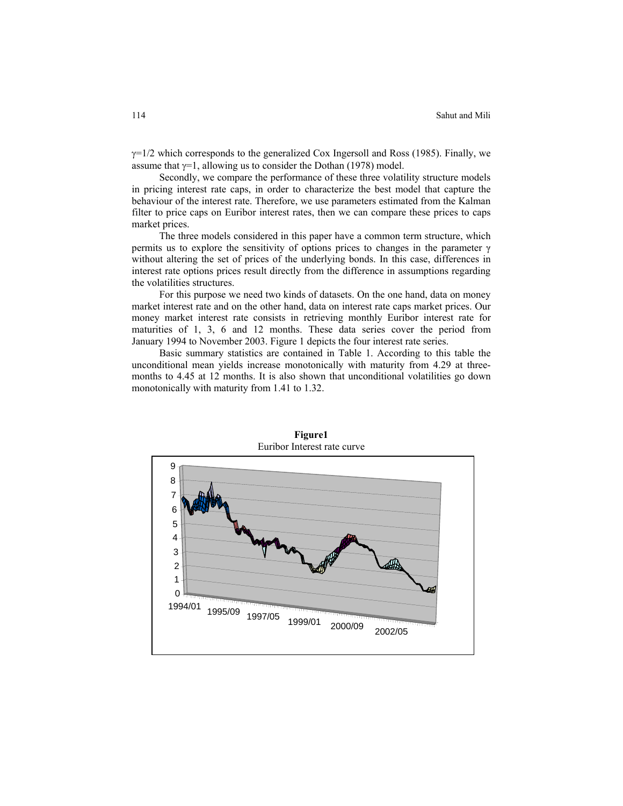$\gamma$ =1/2 which corresponds to the generalized Cox Ingersoll and Ross (1985). Finally, we assume that  $\gamma=1$ , allowing us to consider the Dothan (1978) model.

Secondly, we compare the performance of these three volatility structure models in pricing interest rate caps, in order to characterize the best model that capture the behaviour of the interest rate. Therefore, we use parameters estimated from the Kalman filter to price caps on Euribor interest rates, then we can compare these prices to caps market prices.

The three models considered in this paper have a common term structure, which permits us to explore the sensitivity of options prices to changes in the parameter  $\gamma$ without altering the set of prices of the underlying bonds. In this case, differences in interest rate options prices result directly from the difference in assumptions regarding the volatilities structures.

For this purpose we need two kinds of datasets. On the one hand, data on money market interest rate and on the other hand, data on interest rate caps market prices. Our money market interest rate consists in retrieving monthly Euribor interest rate for maturities of 1, 3, 6 and 12 months. These data series cover the period from January 1994 to November 2003. Figure 1 depicts the four interest rate series.

Basic summary statistics are contained in Table 1. According to this table the unconditional mean yields increase monotonically with maturity from 4.29 at threemonths to 4.45 at 12 months. It is also shown that unconditional volatilities go down monotonically with maturity from 1.41 to 1.32.



**Figure1**  Euribor Interest rate curve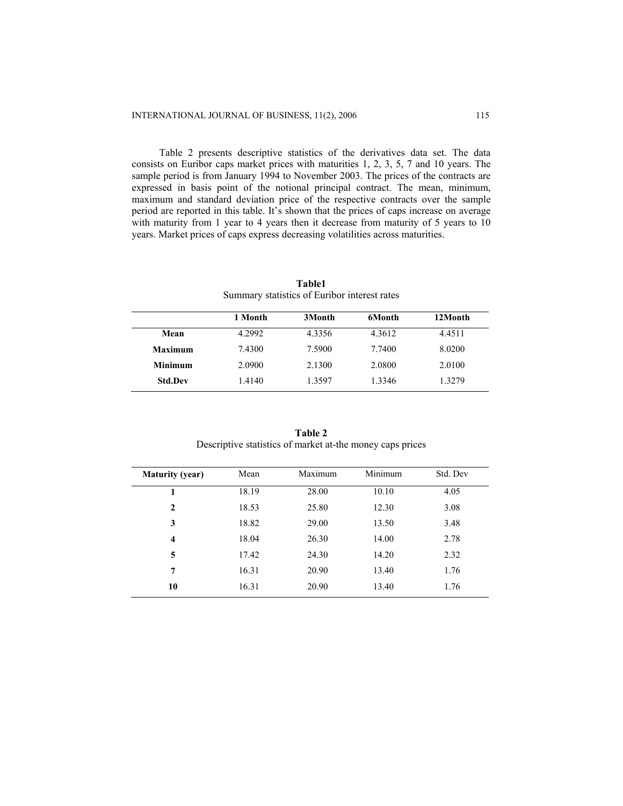Table 2 presents descriptive statistics of the derivatives data set. The data consists on Euribor caps market prices with maturities 1, 2, 3, 5, 7 and 10 years. The sample period is from January 1994 to November 2003. The prices of the contracts are expressed in basis point of the notional principal contract. The mean, minimum, maximum and standard deviation price of the respective contracts over the sample period are reported in this table. It's shown that the prices of caps increase on average with maturity from 1 year to 4 years then it decrease from maturity of 5 years to 10 years. Market prices of caps express decreasing volatilities across maturities.

|                | 1 Month | 3Month | 6Month | 12Month |
|----------------|---------|--------|--------|---------|
| Mean           | 4.2992  | 4.3356 | 4.3612 | 4.4511  |
| Maximum        | 7.4300  | 7.5900 | 7.7400 | 8.0200  |
| <b>Minimum</b> | 2.0900  | 2.1300 | 2.0800 | 2.0100  |
| <b>Std.Dev</b> | 1.4140  | 1.3597 | 1.3346 | 1.3279  |
|                |         |        |        |         |

**Table1** Summary statistics of Euribor interest rates

| Table 2                                                   |
|-----------------------------------------------------------|
| Descriptive statistics of market at-the money caps prices |

| <b>Maturity (year)</b> | Mean  | Maximum | Minimum | Std. Dev |
|------------------------|-------|---------|---------|----------|
|                        | 18.19 | 28.00   | 10.10   | 4.05     |
| $\mathbf{2}$           | 18.53 | 25.80   | 12.30   | 3.08     |
| 3                      | 18.82 | 29.00   | 13.50   | 3.48     |
| 4                      | 18.04 | 26.30   | 14.00   | 2.78     |
| 5                      | 17.42 | 24.30   | 14.20   | 2.32     |
| 7                      | 16.31 | 20.90   | 13.40   | 1.76     |
| 10                     | 16.31 | 20.90   | 13.40   | 1.76     |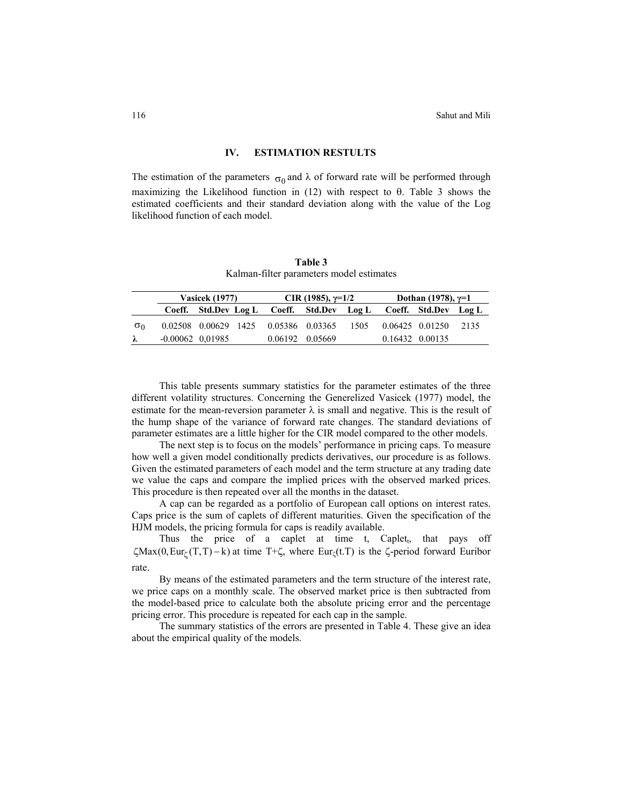## **IV. ESTIMATION RESTULTS**

The estimation of the parameters  $\sigma_0$  and  $\lambda$  of forward rate will be performed through maximizing the Likelihood function in  $(12)$  with respect to  $\theta$ . Table 3 shows the estimated coefficients and their standard deviation along with the value of the Log likelihood function of each model.

**Table 3** Kalman-filter parameters model estimates

|            |                    | <b>Vasicek</b> (1977) |  | CIR (1985), $\gamma=1/2$                  |  | Dothan (1978), $\gamma=1$ |  |
|------------|--------------------|-----------------------|--|-------------------------------------------|--|---------------------------|--|
|            |                    |                       |  | Coeff. Std.Dev Log L Coeff. Std.Dev Log L |  | Coeff. Std.Dev Log L      |  |
| $\sigma_0$ |                    |                       |  | 0.02508 0.00629 1425 0.05386 0.03365 1505 |  | 0.06425 0.01250 2135      |  |
| $\lambda$  | $-0.00062$ 0.01985 |                       |  | 0.06192 0.05669                           |  | 0.16432 0.00135           |  |

This table presents summary statistics for the parameter estimates of the three different volatility structures. Concerning the Generelized Vasicek (1977) model, the estimate for the mean-reversion parameter  $\lambda$  is small and negative. This is the result of the hump shape of the variance of forward rate changes. The standard deviations of parameter estimates are a little higher for the CIR model compared to the other models.

The next step is to focus on the models' performance in pricing caps. To measure how well a given model conditionally predicts derivatives, our procedure is as follows. Given the estimated parameters of each model and the term structure at any trading date we value the caps and compare the implied prices with the observed marked prices. This procedure is then repeated over all the months in the dataset.

A cap can be regarded as a portfolio of European call options on interest rates. Caps price is the sum of caplets of different maturities. Given the specification of the HJM models, the pricing formula for caps is readily available.

Thus the price of a caplet at time t, Caplet<sub>t</sub>, that pays off  $\zeta$ Max(0, Eur<sub> $\zeta$ </sub>(T,T) – k) at time T+ $\zeta$ , where Eur<sub> $\zeta$ </sub>(t.T) is the  $\zeta$ -period forward Euribor rate.

By means of the estimated parameters and the term structure of the interest rate, we price caps on a monthly scale. The observed market price is then subtracted from the model-based price to calculate both the absolute pricing error and the percentage pricing error. This procedure is repeated for each cap in the sample.

The summary statistics of the errors are presented in Table 4. These give an idea about the empirical quality of the models.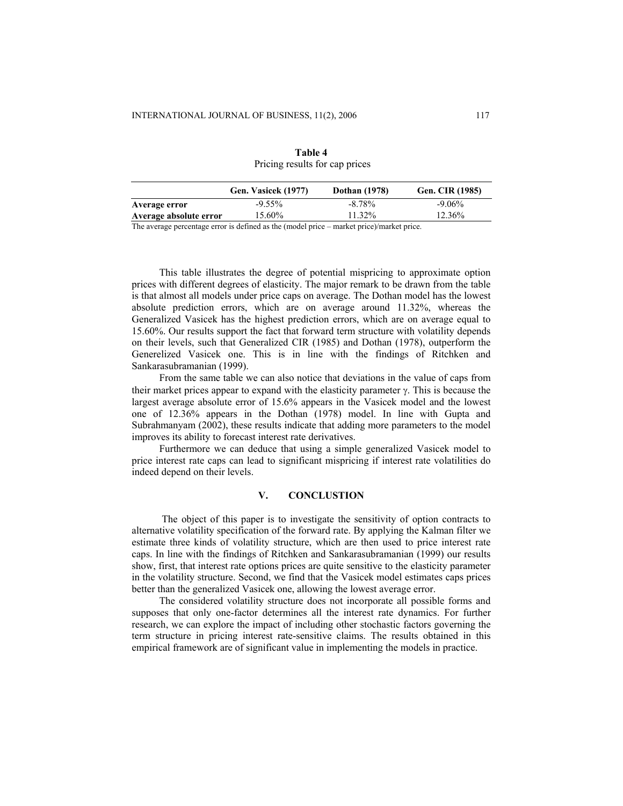| 1.11                   |                     |                      |                        |  |
|------------------------|---------------------|----------------------|------------------------|--|
|                        | Gen. Vasicek (1977) | <b>Dothan</b> (1978) | <b>Gen. CIR (1985)</b> |  |
| Average error          | $-9.55\%$           | $-8.78\%$            | $-9.06\%$              |  |
| Average absolute error | 15.60%              | 11.32%               | 12.36%                 |  |

**Table 4**  Pricing results for cap prices

The average percentage error is defined as the (model price – market price)/market price.

This table illustrates the degree of potential mispricing to approximate option prices with different degrees of elasticity. The major remark to be drawn from the table is that almost all models under price caps on average. The Dothan model has the lowest absolute prediction errors, which are on average around 11.32%, whereas the Generalized Vasicek has the highest prediction errors, which are on average equal to 15.60%. Our results support the fact that forward term structure with volatility depends on their levels, such that Generalized CIR (1985) and Dothan (1978), outperform the Generelized Vasicek one. This is in line with the findings of Ritchken and Sankarasubramanian (1999).

From the same table we can also notice that deviations in the value of caps from their market prices appear to expand with the elasticity parameter  $\gamma$ . This is because the largest average absolute error of 15.6% appears in the Vasicek model and the lowest one of 12.36% appears in the Dothan (1978) model. In line with Gupta and Subrahmanyam (2002), these results indicate that adding more parameters to the model improves its ability to forecast interest rate derivatives.

 Furthermore we can deduce that using a simple generalized Vasicek model to price interest rate caps can lead to significant mispricing if interest rate volatilities do indeed depend on their levels.

## **V. CONCLUSTION**

 The object of this paper is to investigate the sensitivity of option contracts to alternative volatility specification of the forward rate. By applying the Kalman filter we estimate three kinds of volatility structure, which are then used to price interest rate caps. In line with the findings of Ritchken and Sankarasubramanian (1999) our results show, first, that interest rate options prices are quite sensitive to the elasticity parameter in the volatility structure. Second, we find that the Vasicek model estimates caps prices better than the generalized Vasicek one, allowing the lowest average error.

The considered volatility structure does not incorporate all possible forms and supposes that only one-factor determines all the interest rate dynamics. For further research, we can explore the impact of including other stochastic factors governing the term structure in pricing interest rate-sensitive claims. The results obtained in this empirical framework are of significant value in implementing the models in practice.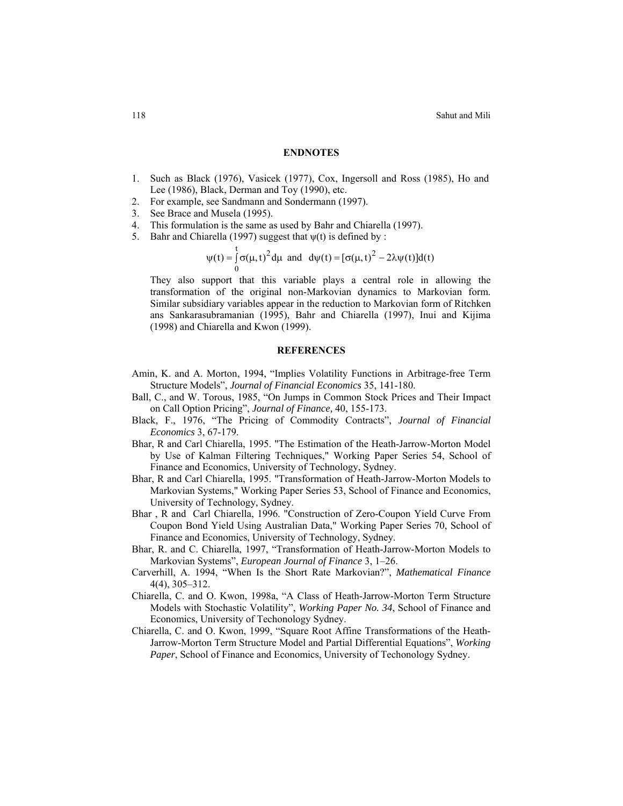#### **ENDNOTES**

- 1. Such as Black (1976), Vasicek (1977), Cox, Ingersoll and Ross (1985), Ho and Lee (1986), Black, Derman and Toy (1990), etc.
- 2. For example, see Sandmann and Sondermann (1997).
- 3. See Brace and Musela (1995).
- 4. This formulation is the same as used by Bahr and Chiarella (1997).
- 5. Bahr and Chiarella (1997) suggest that  $\psi(t)$  is defined by :

$$
\psi(t) = \int_0^t \sigma(\mu, t)^2 d\mu \text{ and } d\psi(t) = [\sigma(\mu, t)^2 - 2\lambda \psi(t)] d(t)
$$

They also support that this variable plays a central role in allowing the transformation of the original non-Markovian dynamics to Markovian form. Similar subsidiary variables appear in the reduction to Markovian form of Ritchken ans Sankarasubramanian (1995), Bahr and Chiarella (1997), Inui and Kijima (1998) and Chiarella and Kwon (1999).

#### **REFERENCES**

- Amin, K. and A. Morton, 1994, "Implies Volatility Functions in Arbitrage-free Term Structure Models", *Journal of Financial Economics* 35, 141-180.
- Ball, C., and W. Torous, 1985, "On Jumps in Common Stock Prices and Their Impact on Call Option Pricing", *Journal of Finance,* 40, 155-173.
- Black, F., 1976, "The Pricing of Commodity Contracts", *Journal of Financial Economics* 3, 67-179.
- Bhar, R and Carl Chiarella, 1995. "[The Estimation of the Heath-Jarrow-Morton Model](http://ideas.repec.org/p/uts/wpaper/54.html) [by Use of Kalman Filtering](http://ideas.repec.org/p/uts/wpaper/54.html) Techniques," [Working Paper Series](http://ideas.repec.org/s/uts/wpaper.html) 54, School of Finance and Economics, University of Technology, Sydney.
- Bhar, R and Carl Chiarella, 1995. "[Transformation of Heath-Jarrow-Morton Models to](http://ideas.repec.org/p/uts/wpaper/53.html) [Markovian Systems,](http://ideas.repec.org/p/uts/wpaper/53.html)" [Working Paper Series](http://ideas.repec.org/s/uts/wpaper.html) 53, School of Finance and Economics, University of Technology, Sydney.
- Bhar , R and Carl Chiarella, 1996. ["Construction of Zero-Coupon Yield Curve From](http://ideas.repec.org/p/uts/wpaper/70.html) [Coupon Bond Yield Using Australian Data](http://ideas.repec.org/p/uts/wpaper/70.html)," [Working Paper Series](http://ideas.repec.org/s/uts/wpaper.html) 70, School of Finance and Economics, University of Technology, Sydney.
- Bhar, R. and C. Chiarella, 1997, "Transformation of Heath-Jarrow-Morton Models to Markovian Systems", *European Journal of Finance* 3, 1–26.
- Carverhill, A. 1994, "When Is the Short Rate Markovian?", *Mathematical Finance*  4(4), 305–312.
- Chiarella, C. and O. Kwon, 1998a, "A Class of Heath-Jarrow-Morton Term Structure Models with Stochastic Volatility", *Working Paper No. 34*, School of Finance and Economics, University of Techonology Sydney.
- Chiarella, C. and O. Kwon, 1999, "Square Root Affine Transformations of the Heath-Jarrow-Morton Term Structure Model and Partial Differential Equations", *Working Paper*, School of Finance and Economics, University of Techonology Sydney.